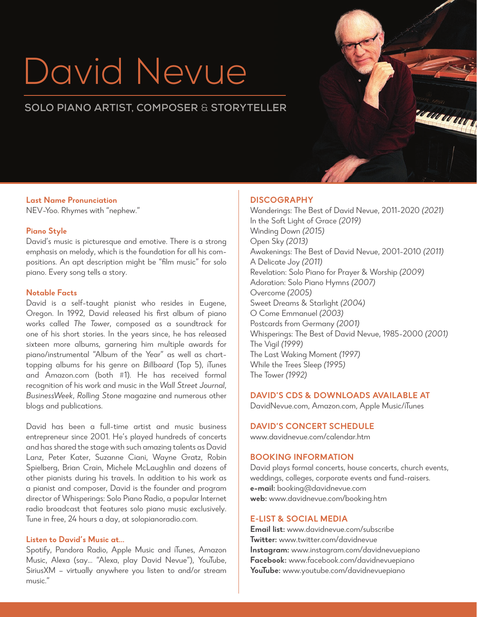# David Nevue

# **SOLO PIANO ARTIST, COMPOSER** & **STORYTELLER**

**Last Name Pronunciation** NEV-Yoo. Rhymes with "nephew."

#### **Piano Style**

David's music is picturesque and emotive. There is a strong emphasis on melody, which is the foundation for all his compositions. An apt description might be "film music" for solo piano. Every song tells a story.

#### **Notable Facts**

David is a self-taught pianist who resides in Eugene, Oregon. In 1992, David released his first album of piano works called *The Tower*, composed as a soundtrack for one of his short stories. In the years since, he has released sixteen more albums, garnering him multiple awards for piano/instrumental "Album of the Year" as well as charttopping albums for his genre on *Billboard* (Top 5), iTunes and Amazon.com (both #1). He has received formal recognition of his work and music in the *Wall Street Journal*, *BusinessWeek*, *Rolling Stone* magazine and numerous other blogs and publications.

David has been a full-time artist and music business entrepreneur since 2001. He's played hundreds of concerts and has shared the stage with such amazing talents as David Lanz, Peter Kater, Suzanne Ciani, Wayne Gratz, Robin Spielberg, Brian Crain, Michele McLaughlin and dozens of other pianists during his travels. In addition to his work as a pianist and composer, David is the founder and program director of Whisperings: Solo Piano Radio, a popular Internet radio broadcast that features solo piano music exclusively. Tune in free, 24 hours a day, at solopianoradio.com.

#### **Listen to David's Music at...**

Spotify, Pandora Radio, Apple Music and iTunes, Amazon Music, Alexa (say... "Alexa, play David Nevue"), YouTube, SiriusXM – virtually anywhere you listen to and/or stream music."

#### **DISCOGRAPHY**

Wanderings: The Best of David Nevue, 2011-2020 *(2021)* In the Soft Light of Grace *(2019)* Winding Down *(2015)* Open Sky *(2013)* Awakenings: The Best of David Nevue, 2001-2010 *(2011)* A Delicate Joy *(2011)* Revelation: Solo Piano for Prayer & Worship *(2009)* Adoration: Solo Piano Hymns *(2007)* Overcome *(2005)* Sweet Dreams & Starlight *(2004)* O Come Emmanuel *(2003)*  Postcards from Germany *(2001)* Whisperings: The Best of David Nevue, 1985-2000 *(2001)* The Vigil *(1999)* The Last Waking Moment *(1997)* While the Trees Sleep *(1995)* The Tower *(1992)*

#### **DAVID'S CDS & DOWNLOADS AVAILABLE AT**

DavidNevue.com, Amazon.com, Apple Music/iTunes

#### **DAVID'S CONCERT SCHEDULE**

www.davidnevue.com/calendar.htm

### **BOOKING INFORMATION**

David plays formal concerts, house concerts, church events, weddings, colleges, corporate events and fund-raisers. **e-mail:** booking@davidnevue.com **web:** www.davidnevue.com/booking.htm

#### **E-LIST & SOCIAL MEDIA**

**Email list:** www.davidnevue.com/subscribe **Twitter:** www.twitter.com/davidnevue **Instagram:** www.instagram.com/davidnevuepiano **Facebook:** www.facebook.com/davidnevuepiano **YouTube:** www.youtube.com/davidnevuepiano